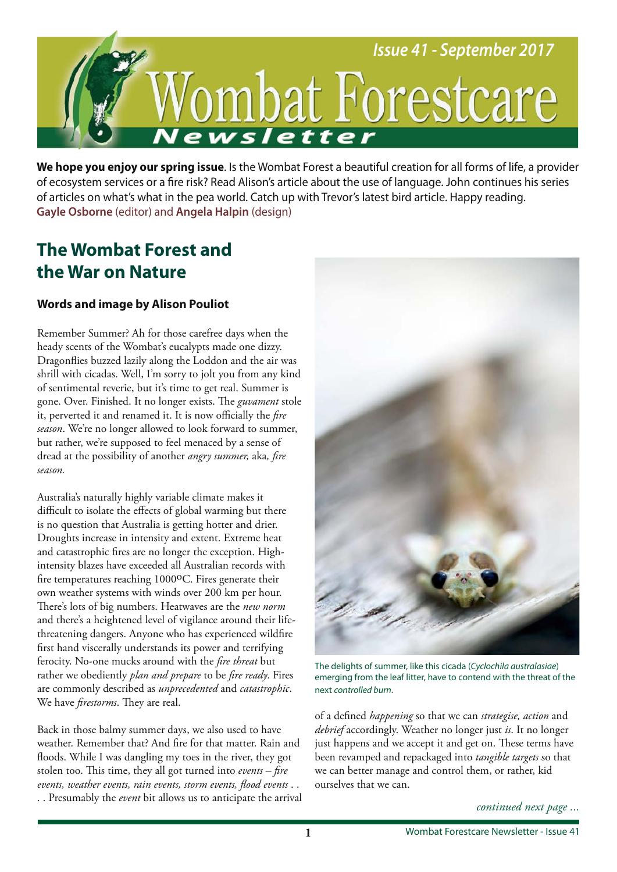

**We hope you enjoy our spring issue**. Is the Wombat Forest a beautiful creation for all forms of life, a provider of ecosystem services or a fre risk? Read Alison's article about the use of language. John continues his series of articles on what's what in the pea world. Catch up with Trevor's latest bird article. Happy reading. **Gayle Osborne** (editor) and **Angela Halpin** (design)

## **The Wombat Forest and the War on Nature**

## **Words and image by Alison Pouliot**

Remember Summer? Ah for those carefree days when the heady scents of the Wombat's eucalypts made one dizzy. Dragonfies buzzed lazily along the Loddon and the air was shrill with cicadas. Well, I'm sorry to jolt you from any kind of sentimental reverie, but it's time to get real. Summer is gone. Over. Finished. It no longer exists. The *guvament* stole it, perverted it and renamed it. It is now officially the *fire season*. We're no longer allowed to look forward to summer, but rather, we're supposed to feel menaced by a sense of dread at the possibility of another *angry summer,* aka*, fre season.* 

Australia's naturally highly variable climate makes it difficult to isolate the effects of global warming but there is no question that Australia is getting hotter and drier. Droughts increase in intensity and extent. Extreme heat and catastrophic fres are no longer the exception. Highintensity blazes have exceeded all Australian records with fire temperatures reaching 1000<sup>o</sup>C. Fires generate their own weather systems with winds over 200 km per hour. There's lots of big numbers. Heatwaves are the *new norm* and there's a heightened level of vigilance around their lifethreatening dangers. Anyone who has experienced wildfre frst hand viscerally understands its power and terrifying ferocity. No-one mucks around with the *fre threat* but rather we obediently *plan and prepare* to be *fre ready*. Fires are commonly described as *unprecedented* and *catastrophic*. We have *firestorms*. They are real.

Back in those balmy summer days, we also used to have weather. Remember that? And fre for that matter. Rain and foods. While I was dangling my toes in the river, they got stolen too. This time, they all got turned into *events – fire events, weather events, rain events, storm events, food events* . . . . Presumably the *event* bit allows us to anticipate the arrival



The delights of summer, like this cicada (Cyclochila australasiae) emerging from the leaf litter, have to contend with the threat of the next controlled burn.

of a defned *happening* so that we can *strategise, action* and *debrief* accordingly. Weather no longer just *is*. It no longer just happens and we accept it and get on. These terms have been revamped and repackaged into *tangible targets* so that we can better manage and control them, or rather, kid ourselves that we can.

*continued next page ...*